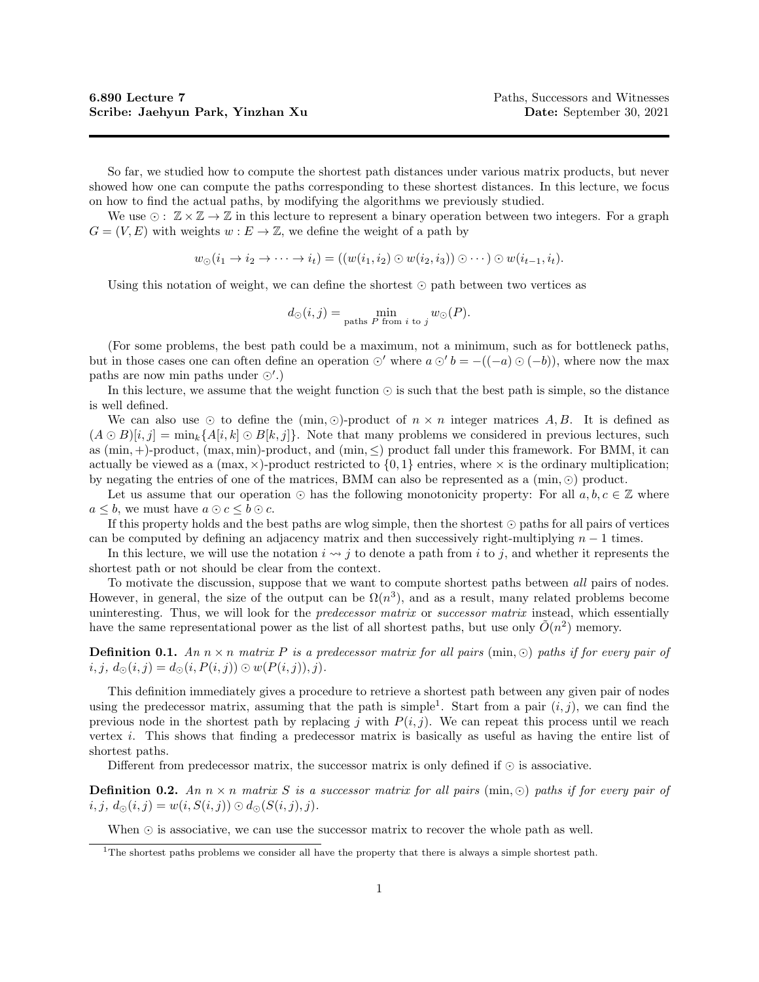So far, we studied how to compute the shortest path distances under various matrix products, but never showed how one can compute the paths corresponding to these shortest distances. In this lecture, we focus on how to find the actual paths, by modifying the algorithms we previously studied.

We use  $\odot: \mathbb{Z} \times \mathbb{Z} \to \mathbb{Z}$  in this lecture to represent a binary operation between two integers. For a graph  $G = (V, E)$  with weights  $w : E \to \mathbb{Z}$ , we define the weight of a path by

 $w_{\odot}(i_1 \to i_2 \to \cdots \to i_t) = ((w(i_1, i_2) \odot w(i_2, i_3)) \odot \cdots) \odot w(i_{t-1}, i_t).$ 

Using this notation of weight, we can define the shortest  $\odot$  path between two vertices as

$$
d_{\odot}(i,j) = \min_{\text{paths } P \text{ from } i \text{ to } j} w_{\odot}(P).
$$

(For some problems, the best path could be a maximum, not a minimum, such as for bottleneck paths, but in those cases one can often define an operation  $\odot'$  where  $a \odot' b = -((-a) \odot (-b))$ , where now the max paths are now min paths under  $\odot'$ .)

In this lecture, we assume that the weight function  $\odot$  is such that the best path is simple, so the distance is well defined.

We can also use  $\odot$  to define the (min,  $\odot$ )-product of  $n \times n$  integer matrices A, B. It is defined as  $(A \odot B)[i, j] = \min_k \{A[i, k] \odot B[k, j]\}.$  Note that many problems we considered in previous lectures, such as  $(\min, +)$ -product,  $(\max, \min)$ -product, and  $(\min, \le)$  product fall under this framework. For BMM, it can actually be viewed as a  $(\max, \times)$ -product restricted to  $\{0, 1\}$  entries, where  $\times$  is the ordinary multiplication; by negating the entries of one of the matrices, BMM can also be represented as a  $(\min, \odot)$  product.

Let us assume that our operation  $\odot$  has the following monotonicity property: For all  $a, b, c \in \mathbb{Z}$  where  $a \leq b$ , we must have  $a \odot c \leq b \odot c$ .

If this property holds and the best paths are wlog simple, then the shortest  $\odot$  paths for all pairs of vertices can be computed by defining an adjacency matrix and then successively right-multiplying  $n - 1$  times.

In this lecture, we will use the notation  $i \leadsto j$  to denote a path from i to j, and whether it represents the shortest path or not should be clear from the context.

To motivate the discussion, suppose that we want to compute shortest paths between all pairs of nodes. However, in general, the size of the output can be  $\Omega(n^3)$ , and as a result, many related problems become uninteresting. Thus, we will look for the *predecessor matrix* or *successor matrix* instead, which essentially have the same representational power as the list of all shortest paths, but use only  $\tilde{O}(n^2)$  memory.

**Definition 0.1.** An  $n \times n$  matrix P is a predecessor matrix for all pairs (min,  $\odot$ ) paths if for every pair of  $i, j, d_{\odot}(i, j) = d_{\odot}(i, P(i, j)) \odot w(P(i, j)), j).$ 

This definition immediately gives a procedure to retrieve a shortest path between any given pair of nodes using the predecessor matrix, assuming that the path is simple<sup>1</sup>. Start from a pair  $(i, j)$ , we can find the previous node in the shortest path by replacing j with  $P(i, j)$ . We can repeat this process until we reach vertex i. This shows that finding a predecessor matrix is basically as useful as having the entire list of shortest paths.

Different from predecessor matrix, the successor matrix is only defined if  $\odot$  is associative.

**Definition 0.2.** An  $n \times n$  matrix S is a successor matrix for all pairs (min,  $\odot$ ) paths if for every pair of  $i, j, d_{\odot}(i, j) = w(i, S(i, j)) \odot d_{\odot}(S(i, j), j).$ 

When  $\odot$  is associative, we can use the successor matrix to recover the whole path as well.

<sup>&</sup>lt;sup>1</sup>The shortest paths problems we consider all have the property that there is always a simple shortest path.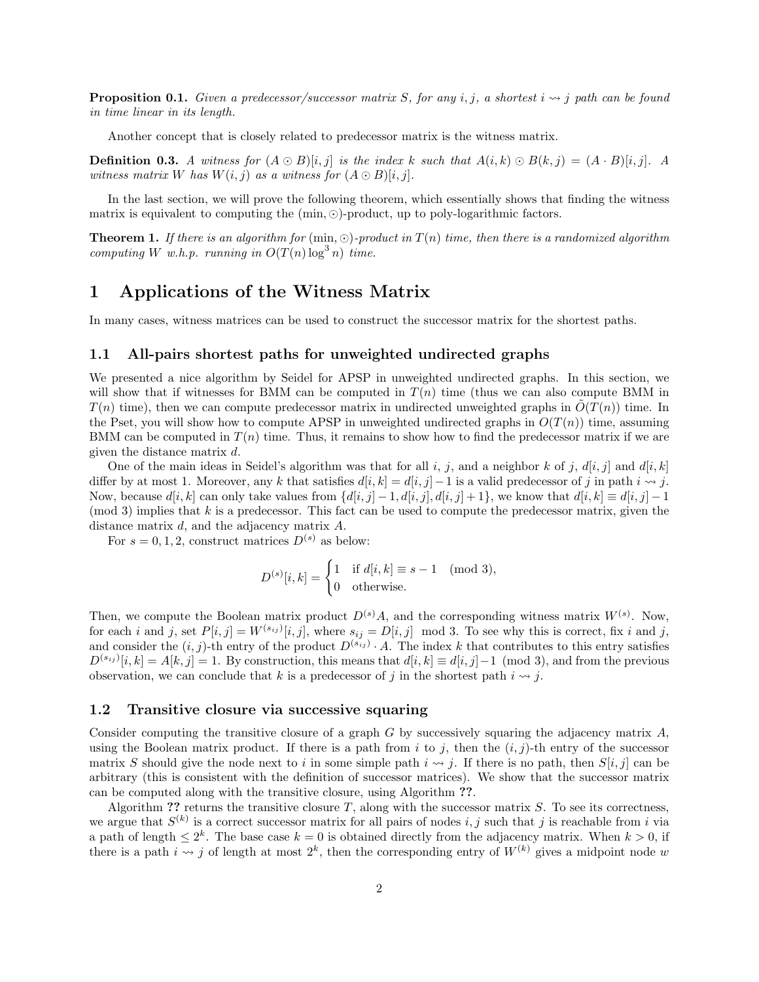**Proposition 0.1.** Given a predecessor/successor matrix S, for any i, j, a shortest  $i \leadsto j$  path can be found in time linear in its length.

Another concept that is closely related to predecessor matrix is the witness matrix.

**Definition 0.3.** A witness for  $(A \odot B)[i, j]$  is the index k such that  $A(i, k) \odot B(k, j) = (A \cdot B)[i, j]$ . A witness matrix W has  $W(i, j)$  as a witness for  $(A \odot B)[i, j]$ .

In the last section, we will prove the following theorem, which essentially shows that finding the witness matrix is equivalent to computing the  $(\min, \odot)$ -product, up to poly-logarithmic factors.

**Theorem 1.** If there is an algorithm for  $(\min, \odot)$ -product in  $T(n)$  time, then there is a randomized algorithm computing W w.h.p. running in  $O(T(n) \log^3 n)$  time.

# 1 Applications of the Witness Matrix

In many cases, witness matrices can be used to construct the successor matrix for the shortest paths.

### 1.1 All-pairs shortest paths for unweighted undirected graphs

We presented a nice algorithm by Seidel for APSP in unweighted undirected graphs. In this section, we will show that if witnesses for BMM can be computed in  $T(n)$  time (thus we can also compute BMM in  $T(n)$  time), then we can compute predecessor matrix in undirected unweighted graphs in  $\tilde{O}(T(n))$  time. In the Pset, you will show how to compute APSP in unweighted undirected graphs in  $O(T(n))$  time, assuming BMM can be computed in  $T(n)$  time. Thus, it remains to show how to find the predecessor matrix if we are given the distance matrix d.

One of the main ideas in Seidel's algorithm was that for all i, j, and a neighbor k of j,  $d[i, j]$  and  $d[i, k]$ differ by at most 1. Moreover, any k that satisfies  $d[i, k] = d[i, j] - 1$  is a valid predecessor of j in path  $i \rightsquigarrow j$ . Now, because  $d[i, k]$  can only take values from  $\{d[i, j] - 1, d[i, j], d[i, j] + 1\}$ , we know that  $d[i, k] \equiv d[i, j] - 1$  $\pmod{3}$  implies that k is a predecessor. This fact can be used to compute the predecessor matrix, given the distance matrix d, and the adjacency matrix A.

For  $s = 0, 1, 2$ , construct matrices  $D^{(s)}$  as below:

$$
D^{(s)}[i,k] = \begin{cases} 1 & \text{if } d[i,k] \equiv s-1 \pmod{3}, \\ 0 & \text{otherwise.} \end{cases}
$$

Then, we compute the Boolean matrix product  $D^{(s)}A$ , and the corresponding witness matrix  $W^{(s)}$ . Now, for each i and j, set  $P[i, j] = W^{(s_{ij})}[i, j]$ , where  $s_{ij} = D[i, j] \mod 3$ . To see why this is correct, fix i and j, and consider the  $(i, j)$ -th entry of the product  $D^{(s_{ij})} \cdot A$ . The index k that contributes to this entry satisfies  $D^{(s_{ij})}[i,k] = A[k,j] = 1$ . By construction, this means that  $d[i,k] \equiv d[i,j] - 1 \pmod{3}$ , and from the previous observation, we can conclude that k is a predecessor of j in the shortest path  $i \rightarrow j$ .

#### 1.2 Transitive closure via successive squaring

Consider computing the transitive closure of a graph  $G$  by successively squaring the adjacency matrix  $A$ , using the Boolean matrix product. If there is a path from i to j, then the  $(i, j)$ -th entry of the successor matrix S should give the node next to i in some simple path  $i \leadsto j$ . If there is no path, then  $S[i, j]$  can be arbitrary (this is consistent with the definition of successor matrices). We show that the successor matrix can be computed along with the transitive closure, using Algorithm ??.

Algorithm ?? returns the transitive closure  $T$ , along with the successor matrix  $S$ . To see its correctness, we argue that  $S^{(k)}$  is a correct successor matrix for all pairs of nodes i, j such that j is reachable from i via a path of length  $\leq 2^k$ . The base case  $k = 0$  is obtained directly from the adjacency matrix. When  $k > 0$ , if there is a path  $i \leadsto j$  of length at most  $2^k$ , then the corresponding entry of  $W^{(k)}$  gives a midpoint node w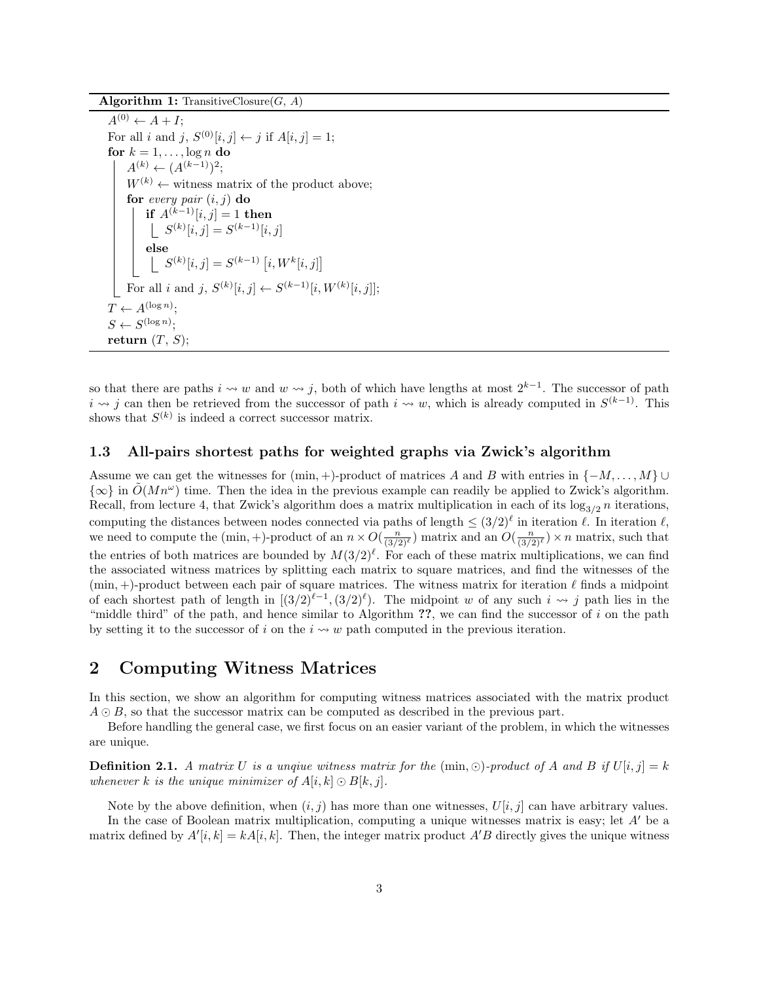Algorithm 1: TransitiveClosure $(G, A)$ 

```
\overline{A^{(0)} \leftarrow A + I};
For all i and j, S^{(0)}[i, j] \leftarrow j if A[i, j] = 1;
for k = 1, \ldots, \log n do
     A^{(k)} \leftarrow (A^{(k-1)})^2;W^{(k)} \leftarrow witness matrix of the product above;
     for every pair (i, j) do
          if A^{(k-1)}[i,j] = 1 then
               S^{(k)}[i, j] = S^{(k-1)}[i, j]else
               S^{(k)}[i, j] = S^{(k-1)}[i, W^{k}[i, j]]For all i and j, S^{(k)}[i,j] \leftarrow S^{(k-1)}[i,W^{(k)}[i,j]];T \leftarrow A^{(\log n)};
S \leftarrow S^{(\log n)};
return (T, S);
```
so that there are paths  $i \leadsto w$  and  $w \leadsto j$ , both of which have lengths at most  $2^{k-1}$ . The successor of path  $i \leadsto j$  can then be retrieved from the successor of path  $i \leadsto w$ , which is already computed in  $S^{(k-1)}$ . This shows that  $S^{(k)}$  is indeed a correct successor matrix.

### 1.3 All-pairs shortest paths for weighted graphs via Zwick's algorithm

Assume we can get the witnesses for  $(\min, +)$ -product of matrices A and B with entries in  $\{-M, \ldots, M\}$  $\{\infty\}$  in  $O(Mn^{\omega})$  time. Then the idea in the previous example can readily be applied to Zwick's algorithm. Recall, from lecture 4, that Zwick's algorithm does a matrix multiplication in each of its  $\log_{3/2} n$  iterations, computing the distances between nodes connected via paths of length  $\leq (3/2)^{\ell}$  in iteration  $\ell$ . In iteration  $\ell$ , we need to compute the  $(\min, +)$ -product of an  $n \times O(\frac{n}{(3/2)^{\ell}})$  matrix and an  $O(\frac{n}{(3/2)^{\ell}}) \times n$  matrix, such that the entries of both matrices are bounded by  $M(3/2)^{\ell}$ . For each of these matrix multiplications, we can find the associated witness matrices by splitting each matrix to square matrices, and find the witnesses of the  $(\min, +)$ -product between each pair of square matrices. The witness matrix for iteration  $\ell$  finds a midpoint of each shortest path of length in  $[(3/2)^{\ell-1}, (3/2)^{\ell})$ . The midpoint w of any such  $i \rightsquigarrow j$  path lies in the "middle third" of the path, and hence similar to Algorithm  $\gamma$ , we can find the successor of i on the path by setting it to the successor of i on the  $i \sim w$  path computed in the previous iteration.

## 2 Computing Witness Matrices

In this section, we show an algorithm for computing witness matrices associated with the matrix product  $A \odot B$ , so that the successor matrix can be computed as described in the previous part.

Before handling the general case, we first focus on an easier variant of the problem, in which the witnesses are unique.

**Definition 2.1.** A matrix U is a unquie witness matrix for the  $(\min, \odot)$ -product of A and B if  $U[i, j] = k$ whenever k is the unique minimizer of  $A[i, k] \odot B[k, j]$ .

Note by the above definition, when  $(i, j)$  has more than one witnesses,  $U[i, j]$  can have arbitrary values.

In the case of Boolean matrix multiplication, computing a unique witnesses matrix is easy; let  $A'$  be a matrix defined by  $A'[i, k] = kA[i, k]$ . Then, the integer matrix product  $A'B$  directly gives the unique witness